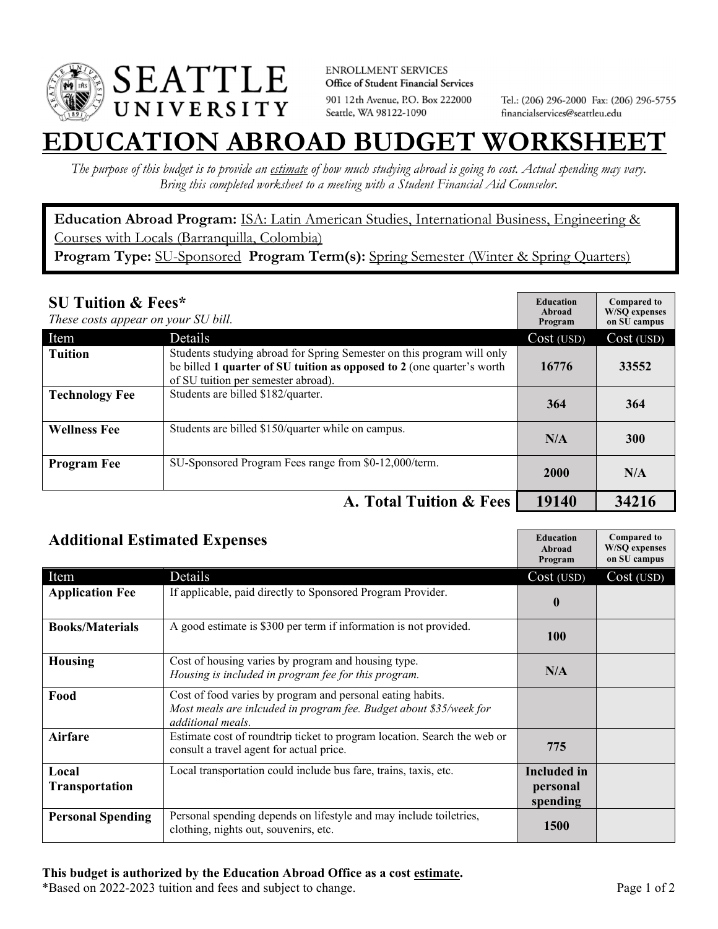

**ENROLLMENT SERVICES** Office of Student Financial Services 901 12th Avenue, P.O. Box 222000 Seattle, WA 98122-1090

Tel.: (206) 296-2000 Fax: (206) 296-5755 financialservices@seattleu.edu

## **EATION ABROAD BUDGET WORKSHET**

*The purpose of this budget is to provide an estimate of how much studying abroad is going to cost. Actual spending may vary. Bring this completed worksheet to a meeting with a Student Financial Aid Counselor.* 

**Education Abroad Program:** ISA: Latin American Studies, International Business, Engineering & Courses with Locals (Barranquilla, Colombia) Program Type: SU-Sponsored Program Term(s): Spring Semester (Winter & Spring Quarters)

| <b>SU Tuition &amp; Fees*</b><br>These costs appear on your SU bill. |                                                                                                                                                                                         | <b>Education</b><br>Abroad<br>Program | <b>Compared to</b><br><b>W/SO</b> expenses<br>on SU campus |
|----------------------------------------------------------------------|-----------------------------------------------------------------------------------------------------------------------------------------------------------------------------------------|---------------------------------------|------------------------------------------------------------|
| Item                                                                 | <b>Details</b>                                                                                                                                                                          | Cost (USD)                            | Cost (USD)                                                 |
| <b>Tuition</b>                                                       | Students studying abroad for Spring Semester on this program will only<br>be billed 1 quarter of SU tuition as opposed to 2 (one quarter's worth<br>of SU tuition per semester abroad). | 16776                                 | 33552                                                      |
| <b>Technology Fee</b>                                                | Students are billed \$182/quarter.                                                                                                                                                      | 364                                   | 364                                                        |
| <b>Wellness Fee</b>                                                  | Students are billed \$150/quarter while on campus.                                                                                                                                      | N/A                                   | 300                                                        |
| <b>Program Fee</b>                                                   | SU-Sponsored Program Fees range from \$0-12,000/term.                                                                                                                                   | <b>2000</b>                           | N/A                                                        |
|                                                                      | A. Total Tuition & Fees                                                                                                                                                                 | 19140                                 | 34216                                                      |

| <b>Additional Estimated Expenses</b> |                                                                                                                                                       | <b>Education</b><br>Abroad<br>Program      | <b>Compared to</b><br><b>W/SQ</b> expenses<br>on SU campus |
|--------------------------------------|-------------------------------------------------------------------------------------------------------------------------------------------------------|--------------------------------------------|------------------------------------------------------------|
| Item                                 | Details                                                                                                                                               | Cost (USD)                                 | Cost (USD)                                                 |
| <b>Application Fee</b>               | If applicable, paid directly to Sponsored Program Provider.                                                                                           | $\boldsymbol{0}$                           |                                                            |
| <b>Books/Materials</b>               | A good estimate is \$300 per term if information is not provided.                                                                                     | <b>100</b>                                 |                                                            |
| <b>Housing</b>                       | Cost of housing varies by program and housing type.<br>Housing is included in program fee for this program.                                           | N/A                                        |                                                            |
| Food                                 | Cost of food varies by program and personal eating habits.<br>Most meals are inlcuded in program fee. Budget about \$35/week for<br>additional meals. |                                            |                                                            |
| <b>Airfare</b>                       | Estimate cost of roundtrip ticket to program location. Search the web or<br>consult a travel agent for actual price.                                  | 775                                        |                                                            |
| Local<br><b>Transportation</b>       | Local transportation could include bus fare, trains, taxis, etc.                                                                                      | <b>Included</b> in<br>personal<br>spending |                                                            |
| <b>Personal Spending</b>             | Personal spending depends on lifestyle and may include toiletries,<br>clothing, nights out, souvenirs, etc.                                           | <b>1500</b>                                |                                                            |

\*Based on 2022-2023 tuition and fees and subject to change. Page 1 of 2